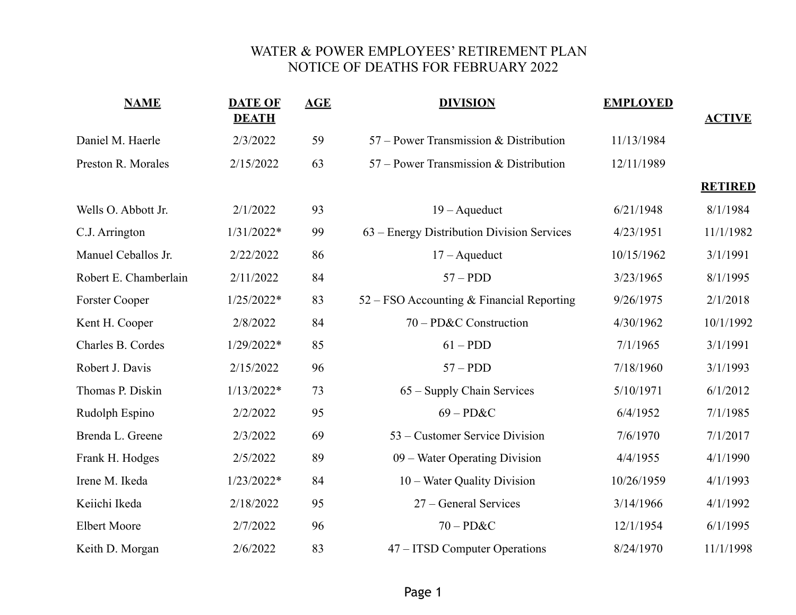## WATER & POWER EMPLOYEES' RETIREMENT PLAN NOTICE OF DEATHS FOR FEBRUARY 2022

| <b>NAME</b>           | <b>DATE OF</b><br><b>DEATH</b> | <b>AGE</b> | <b>DIVISION</b>                            | <b>EMPLOYED</b> | <b>ACTIVE</b>  |
|-----------------------|--------------------------------|------------|--------------------------------------------|-----------------|----------------|
| Daniel M. Haerle      | 2/3/2022                       | 59         | 57 – Power Transmission & Distribution     | 11/13/1984      |                |
| Preston R. Morales    | 2/15/2022                      | 63         | $57$ – Power Transmission & Distribution   | 12/11/1989      |                |
|                       |                                |            |                                            |                 | <b>RETIRED</b> |
| Wells O. Abbott Jr.   | 2/1/2022                       | 93         | $19 - A$ queduct                           | 6/21/1948       | 8/1/1984       |
| C.J. Arrington        | $1/31/2022*$                   | 99         | 63 – Energy Distribution Division Services | 4/23/1951       | 11/1/1982      |
| Manuel Ceballos Jr.   | 2/22/2022                      | 86         | $17 - A$ queduct                           | 10/15/1962      | 3/1/1991       |
| Robert E. Chamberlain | 2/11/2022                      | 84         | $57 - PDD$                                 | 3/23/1965       | 8/1/1995       |
| <b>Forster Cooper</b> | $1/25/2022*$                   | 83         | 52 – FSO Accounting & Financial Reporting  | 9/26/1975       | 2/1/2018       |
| Kent H. Cooper        | 2/8/2022                       | 84         | 70 – PD&C Construction                     | 4/30/1962       | 10/1/1992      |
| Charles B. Cordes     | $1/29/2022*$                   | 85         | $61 - PDD$                                 | 7/1/1965        | 3/1/1991       |
| Robert J. Davis       | 2/15/2022                      | 96         | $57 - PDD$                                 | 7/18/1960       | 3/1/1993       |
| Thomas P. Diskin      | $1/13/2022*$                   | 73         | 65 – Supply Chain Services                 | 5/10/1971       | 6/1/2012       |
| Rudolph Espino        | 2/2/2022                       | 95         | $69 - P D & C$                             | 6/4/1952        | 7/1/1985       |
| Brenda L. Greene      | 2/3/2022                       | 69         | 53 – Customer Service Division             | 7/6/1970        | 7/1/2017       |
| Frank H. Hodges       | 2/5/2022                       | 89         | 09 – Water Operating Division              | 4/4/1955        | 4/1/1990       |
| Irene M. Ikeda        | $1/23/2022*$                   | 84         | 10 – Water Quality Division                | 10/26/1959      | 4/1/1993       |
| Keiichi Ikeda         | 2/18/2022                      | 95         | 27 – General Services                      | 3/14/1966       | 4/1/1992       |
| <b>Elbert Moore</b>   | 2/7/2022                       | 96         | $70 - PD&C$                                | 12/1/1954       | 6/1/1995       |
| Keith D. Morgan       | 2/6/2022                       | 83         | 47 – ITSD Computer Operations              | 8/24/1970       | 11/1/1998      |